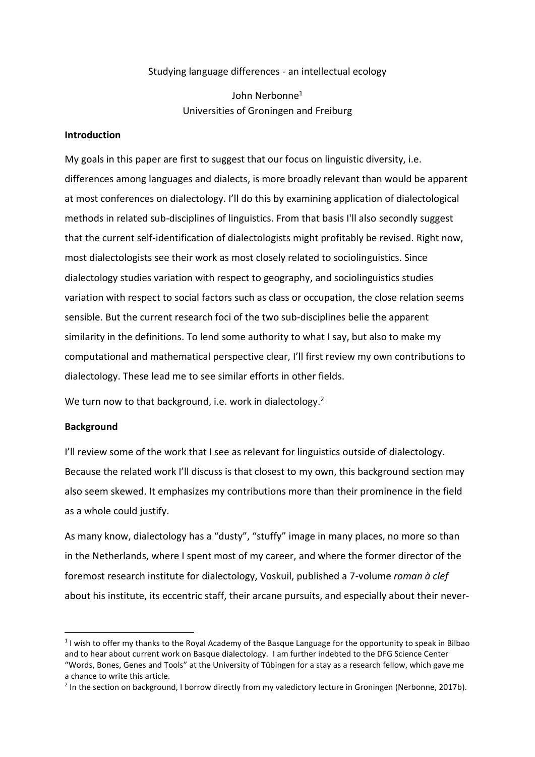# Studying language differences - an intellectual ecology

John Nerbonne<sup>1</sup> Universities of Groningen and Freiburg

### **Introduction**

My goals in this paper are first to suggest that our focus on linguistic diversity, i.e. differences among languages and dialects, is more broadly relevant than would be apparent at most conferences on dialectology. I'll do this by examining application of dialectological methods in related sub-disciplines of linguistics. From that basis I'll also secondly suggest that the current self-identification of dialectologists might profitably be revised. Right now, most dialectologists see their work as most closely related to sociolinguistics. Since dialectology studies variation with respect to geography, and sociolinguistics studies variation with respect to social factors such as class or occupation, the close relation seems sensible. But the current research foci of the two sub-disciplines belie the apparent similarity in the definitions. To lend some authority to what I say, but also to make my computational and mathematical perspective clear, I'll first review my own contributions to dialectology. These lead me to see similar efforts in other fields.

We turn now to that background, i.e. work in dialectology.<sup>2</sup>

# **Background**

I'll review some of the work that I see as relevant for linguistics outside of dialectology. Because the related work I'll discuss is that closest to my own, this background section may also seem skewed. It emphasizes my contributions more than their prominence in the field as a whole could justify.

As many know, dialectology has a "dusty", "stuffy" image in many places, no more so than in the Netherlands, where I spent most of my career, and where the former director of the foremost research institute for dialectology, Voskuil, published a 7-volume *roman à clef* about his institute, its eccentric staff, their arcane pursuits, and especially about their never-

<sup>&</sup>lt;sup>1</sup> I wish to offer my thanks to the Royal Academy of the Basque Language for the opportunity to speak in Bilbao and to hear about current work on Basque dialectology. I am further indebted to the DFG Science Center "Words, Bones, Genes and Tools" at the University of Tübingen for a stay as a research fellow, which gave me a chance to write this article.

<sup>&</sup>lt;sup>2</sup> In the section on background, I borrow directly from my valedictory lecture in Groningen (Nerbonne, 2017b).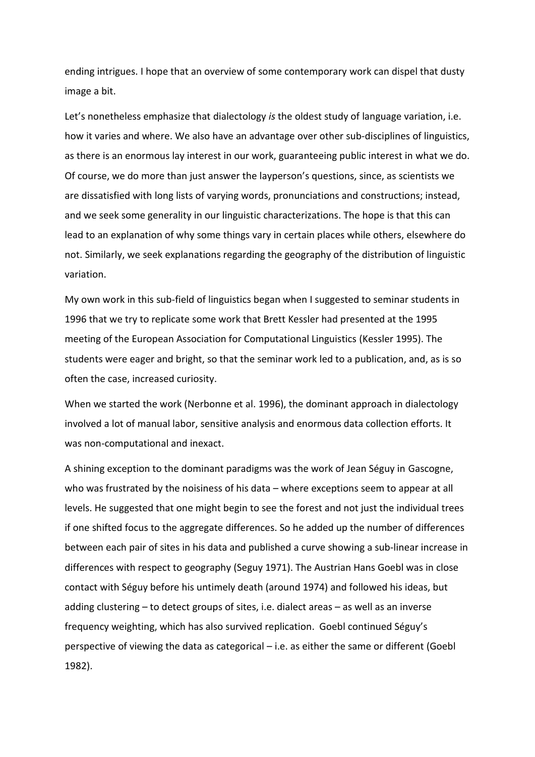ending intrigues. I hope that an overview of some contemporary work can dispel that dusty image a bit.

Let's nonetheless emphasize that dialectology *is* the oldest study of language variation, i.e. how it varies and where. We also have an advantage over other sub-disciplines of linguistics, as there is an enormous lay interest in our work, guaranteeing public interest in what we do. Of course, we do more than just answer the layperson's questions, since, as scientists we are dissatisfied with long lists of varying words, pronunciations and constructions; instead, and we seek some generality in our linguistic characterizations. The hope is that this can lead to an explanation of why some things vary in certain places while others, elsewhere do not. Similarly, we seek explanations regarding the geography of the distribution of linguistic variation.

My own work in this sub-field of linguistics began when I suggested to seminar students in 1996 that we try to replicate some work that Brett Kessler had presented at the 1995 meeting of the European Association for Computational Linguistics (Kessler 1995). The students were eager and bright, so that the seminar work led to a publication, and, as is so often the case, increased curiosity.

When we started the work (Nerbonne et al. 1996), the dominant approach in dialectology involved a lot of manual labor, sensitive analysis and enormous data collection efforts. It was non-computational and inexact.

A shining exception to the dominant paradigms was the work of Jean Séguy in Gascogne, who was frustrated by the noisiness of his data – where exceptions seem to appear at all levels. He suggested that one might begin to see the forest and not just the individual trees if one shifted focus to the aggregate differences. So he added up the number of differences between each pair of sites in his data and published a curve showing a sub-linear increase in differences with respect to geography (Seguy 1971). The Austrian Hans Goebl was in close contact with Séguy before his untimely death (around 1974) and followed his ideas, but adding clustering – to detect groups of sites, i.e. dialect areas – as well as an inverse frequency weighting, which has also survived replication. Goebl continued Séguy's perspective of viewing the data as categorical – i.e. as either the same or different (Goebl 1982).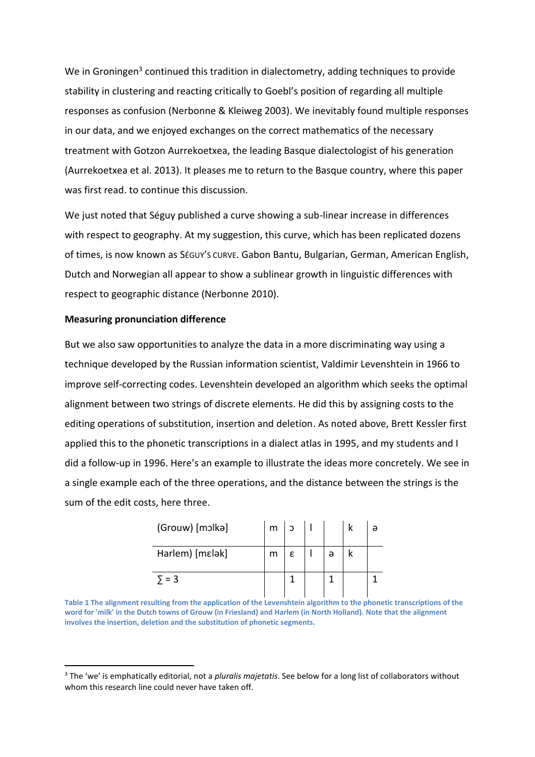We in Groningen<sup>3</sup> continued this tradition in dialectometry, adding techniques to provide stability in clustering and reacting critically to Goebl's position of regarding all multiple responses as confusion (Nerbonne & Kleiweg 2003). We inevitably found multiple responses in our data, and we enjoyed exchanges on the correct mathematics of the necessary treatment with Gotzon Aurrekoetxea, the leading Basque dialectologist of his generation (Aurrekoetxea et al. 2013). It pleases me to return to the Basque country, where this paper was first read. to continue this discussion.

We just noted that Séguy published a curve showing a sub-linear increase in differences with respect to geography. At my suggestion, this curve, which has been replicated dozens of times, is now known as SÉGUY'S CURVE. Gabon Bantu, Bulgarian, German, American English, Dutch and Norwegian all appear to show a sublinear growth in linguistic differences with respect to geographic distance (Nerbonne 2010).

# **Measuring pronunciation difference**

But we also saw opportunities to analyze the data in a more discriminating way using a technique developed by the Russian information scientist, Valdimir Levenshtein in 1966 to improve self-correcting codes. Levenshtein developed an algorithm which seeks the optimal alignment between two strings of discrete elements. He did this by assigning costs to the editing operations of substitution, insertion and deletion. As noted above, Brett Kessler first applied this to the phonetic transcriptions in a dialect atlas in 1995, and my students and I did a follow-up in 1996. Here's an example to illustrate the ideas more concretely. We see in a single example each of the three operations, and the distance between the strings is the sum of the edit costs, here three.

| (Grouw) [mɔlkə] | m | ാ |   | ə |
|-----------------|---|---|---|---|
| Harlem) [mɛlək] | m | ε | ә |   |
| $=$ 3           |   |   |   |   |

**Table 1 The alignment resulting from the application of the Levenshtein algorithm to the phonetic transcriptions of the word for 'milk' in the Dutch towns of Grouw (in Friesland) and Harlem (in North Holland). Note that the alignment involves the insertion, deletion and the substitution of phonetic segments.**

<sup>3</sup> The 'we' is emphatically editorial, not a *pluralis majetatis*. See below for a long list of collaborators without whom this research line could never have taken off.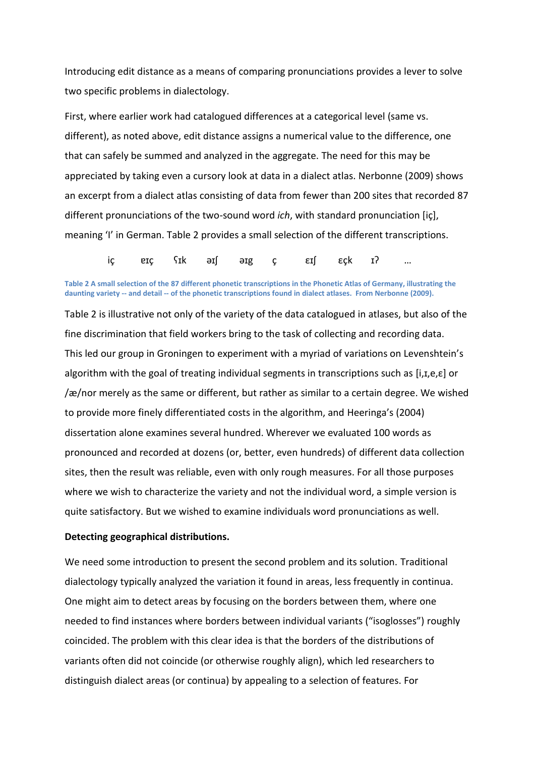Introducing edit distance as a means of comparing pronunciations provides a lever to solve two specific problems in dialectology.

First, where earlier work had catalogued differences at a categorical level (same vs. different), as noted above, edit distance assigns a numerical value to the difference, one that can safely be summed and analyzed in the aggregate. The need for this may be appreciated by taking even a cursory look at data in a dialect atlas. Nerbonne (2009) shows an excerpt from a dialect atlas consisting of data from fewer than 200 sites that recorded 87 different pronunciations of the two-sound word *ich*, with standard pronunciation [iç], meaning 'I' in German. Table 2 provides a small selection of the different transcriptions.

iç ɐɪç ʕɪk əɪʃ əɪg ç εɪʃ εçk ɪʔ …

**Table 2 A small selection of the 87 different phonetic transcriptions in the Phonetic Atlas of Germany, illustrating the daunting variety -- and detail -- of the phonetic transcriptions found in dialect atlases. From Nerbonne (2009).**

Table 2 is illustrative not only of the variety of the data catalogued in atlases, but also of the fine discrimination that field workers bring to the task of collecting and recording data. This led our group in Groningen to experiment with a myriad of variations on Levenshtein's algorithm with the goal of treating individual segments in transcriptions such as [i,*t*,e,*ε*] or /æ/nor merely as the same or different, but rather as similar to a certain degree. We wished to provide more finely differentiated costs in the algorithm, and Heeringa's (2004) dissertation alone examines several hundred. Wherever we evaluated 100 words as pronounced and recorded at dozens (or, better, even hundreds) of different data collection sites, then the result was reliable, even with only rough measures. For all those purposes where we wish to characterize the variety and not the individual word, a simple version is quite satisfactory. But we wished to examine individuals word pronunciations as well.

#### **Detecting geographical distributions.**

We need some introduction to present the second problem and its solution. Traditional dialectology typically analyzed the variation it found in areas, less frequently in continua. One might aim to detect areas by focusing on the borders between them, where one needed to find instances where borders between individual variants ("isoglosses") roughly coincided. The problem with this clear idea is that the borders of the distributions of variants often did not coincide (or otherwise roughly align), which led researchers to distinguish dialect areas (or continua) by appealing to a selection of features. For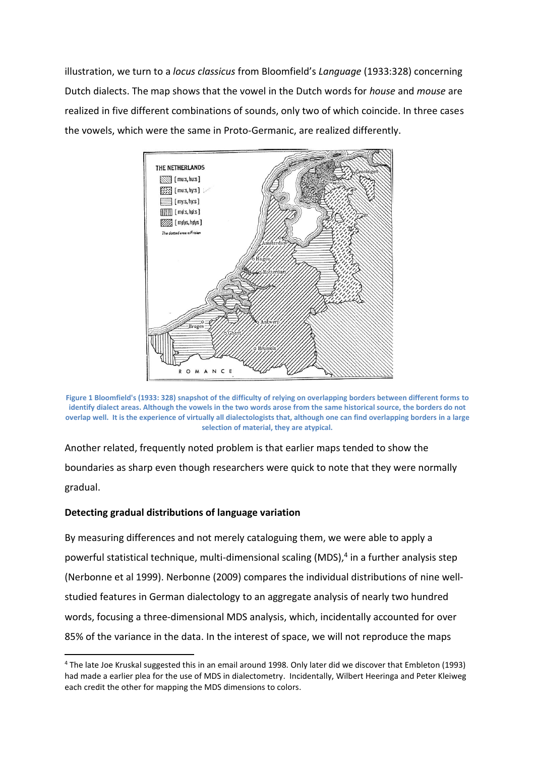illustration, we turn to a *locus classicus* from Bloomfield's *Language* (1933:328) concerning Dutch dialects. The map shows that the vowel in the Dutch words for *house* and *mouse* are realized in five different combinations of sounds, only two of which coincide. In three cases the vowels, which were the same in Proto-Germanic, are realized differently.



**Figure 1 Bloomfield's (1933: 328) snapshot of the difficulty of relying on overlapping borders between different forms to identify dialect areas. Although the vowels in the two words arose from the same historical source, the borders do not overlap well. It is the experience of virtually all dialectologists that, although one can find overlapping borders in a large selection of material, they are atypical.**

Another related, frequently noted problem is that earlier maps tended to show the boundaries as sharp even though researchers were quick to note that they were normally gradual.

# **Detecting gradual distributions of language variation**

By measuring differences and not merely cataloguing them, we were able to apply a powerful statistical technique, multi-dimensional scaling (MDS), 4 in a further analysis step (Nerbonne et al 1999). Nerbonne (2009) compares the individual distributions of nine wellstudied features in German dialectology to an aggregate analysis of nearly two hundred words, focusing a three-dimensional MDS analysis, which, incidentally accounted for over 85% of the variance in the data. In the interest of space, we will not reproduce the maps

<sup>4</sup> The late Joe Kruskal suggested this in an email around 1998. Only later did we discover that Embleton (1993) had made a earlier plea for the use of MDS in dialectometry. Incidentally, Wilbert Heeringa and Peter Kleiweg each credit the other for mapping the MDS dimensions to colors.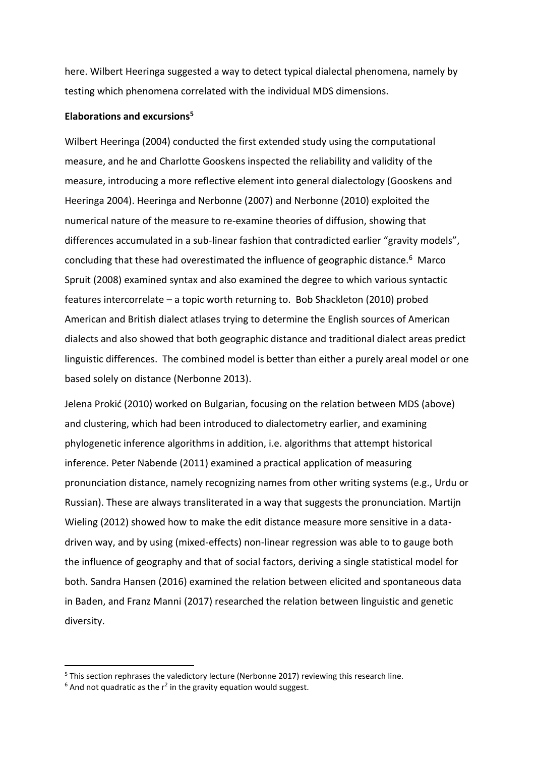here. Wilbert Heeringa suggested a way to detect typical dialectal phenomena, namely by testing which phenomena correlated with the individual MDS dimensions.

### **Elaborations and excursions<sup>5</sup>**

Wilbert Heeringa (2004) conducted the first extended study using the computational measure, and he and Charlotte Gooskens inspected the reliability and validity of the measure, introducing a more reflective element into general dialectology (Gooskens and Heeringa 2004). Heeringa and Nerbonne (2007) and Nerbonne (2010) exploited the numerical nature of the measure to re-examine theories of diffusion, showing that differences accumulated in a sub-linear fashion that contradicted earlier "gravity models", concluding that these had overestimated the influence of geographic distance.<sup>6</sup> Marco Spruit (2008) examined syntax and also examined the degree to which various syntactic features intercorrelate – a topic worth returning to. Bob Shackleton (2010) probed American and British dialect atlases trying to determine the English sources of American dialects and also showed that both geographic distance and traditional dialect areas predict linguistic differences. The combined model is better than either a purely areal model or one based solely on distance (Nerbonne 2013).

Jelena Prokić (2010) worked on Bulgarian, focusing on the relation between MDS (above) and clustering, which had been introduced to dialectometry earlier, and examining phylogenetic inference algorithms in addition, i.e. algorithms that attempt historical inference. Peter Nabende (2011) examined a practical application of measuring pronunciation distance, namely recognizing names from other writing systems (e.g., Urdu or Russian). These are always transliterated in a way that suggests the pronunciation. Martijn Wieling (2012) showed how to make the edit distance measure more sensitive in a datadriven way, and by using (mixed-effects) non-linear regression was able to to gauge both the influence of geography and that of social factors, deriving a single statistical model for both. Sandra Hansen (2016) examined the relation between elicited and spontaneous data in Baden, and Franz Manni (2017) researched the relation between linguistic and genetic diversity.

<sup>5</sup> This section rephrases the valedictory lecture (Nerbonne 2017) reviewing this research line.

 $6$  And not quadratic as the  $r^2$  in the gravity equation would suggest.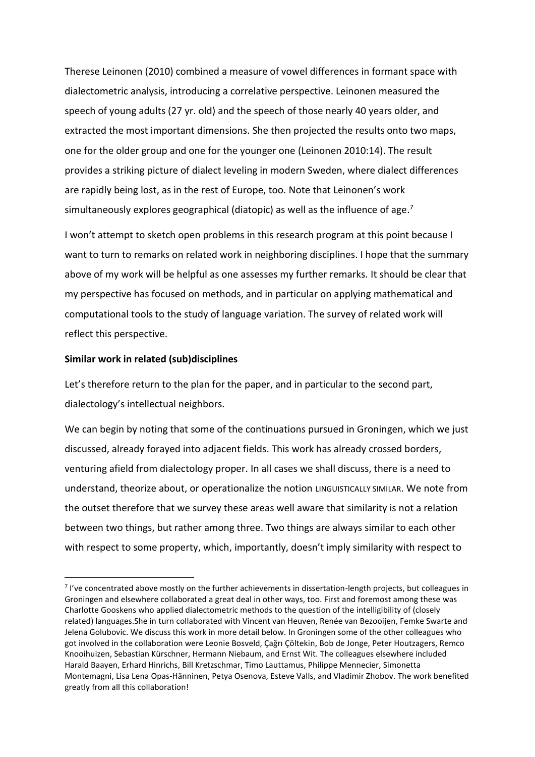Therese Leinonen (2010) combined a measure of vowel differences in formant space with dialectometric analysis, introducing a correlative perspective. Leinonen measured the speech of young adults (27 yr. old) and the speech of those nearly 40 years older, and extracted the most important dimensions. She then projected the results onto two maps, one for the older group and one for the younger one (Leinonen 2010:14). The result provides a striking picture of dialect leveling in modern Sweden, where dialect differences are rapidly being lost, as in the rest of Europe, too. Note that Leinonen's work simultaneously explores geographical (diatopic) as well as the influence of age.<sup>7</sup>

I won't attempt to sketch open problems in this research program at this point because I want to turn to remarks on related work in neighboring disciplines. I hope that the summary above of my work will be helpful as one assesses my further remarks. It should be clear that my perspective has focused on methods, and in particular on applying mathematical and computational tools to the study of language variation. The survey of related work will reflect this perspective.

# **Similar work in related (sub)disciplines**

Let's therefore return to the plan for the paper, and in particular to the second part, dialectology's intellectual neighbors.

We can begin by noting that some of the continuations pursued in Groningen, which we just discussed, already forayed into adjacent fields. This work has already crossed borders, venturing afield from dialectology proper. In all cases we shall discuss, there is a need to understand, theorize about, or operationalize the notion LINGUISTICALLY SIMILAR. We note from the outset therefore that we survey these areas well aware that similarity is not a relation between two things, but rather among three. Two things are always similar to each other with respect to some property, which, importantly, doesn't imply similarity with respect to

 $<sup>7</sup>$  I've concentrated above mostly on the further achievements in dissertation-length projects, but colleagues in</sup> Groningen and elsewhere collaborated a great deal in other ways, too. First and foremost among these was Charlotte Gooskens who applied dialectometric methods to the question of the intelligibility of (closely related) languages.She in turn collaborated with Vincent van Heuven, Renée van Bezooijen, Femke Swarte and Jelena Golubovic. We discuss this work in more detail below. In Groningen some of the other colleagues who got involved in the collaboration were Leonie Bosveld, Çağrı Çöltekin, Bob de Jonge, Peter Houtzagers, Remco Knooihuizen, Sebastian Kürschner, Hermann Niebaum, and Ernst Wit. The colleagues elsewhere included Harald Baayen, Erhard Hinrichs, Bill Kretzschmar, Timo Lauttamus, Philippe Mennecier, Simonetta Montemagni, Lisa Lena Opas-Hänninen, Petya Osenova, Esteve Valls, and Vladimir Zhobov. The work benefited greatly from all this collaboration!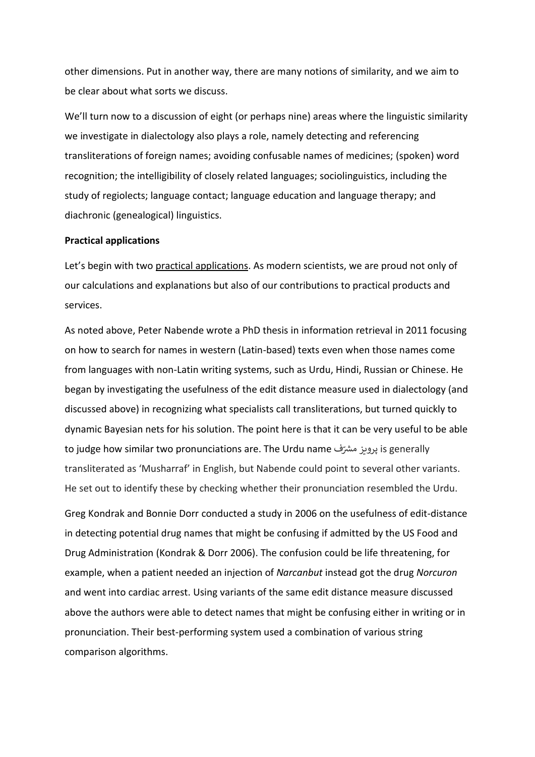other dimensions. Put in another way, there are many notions of similarity, and we aim to be clear about what sorts we discuss.

We'll turn now to a discussion of eight (or perhaps nine) areas where the linguistic similarity we investigate in dialectology also plays a role, namely detecting and referencing transliterations of foreign names; avoiding confusable names of medicines; (spoken) word recognition; the intelligibility of closely related languages; sociolinguistics, including the study of regiolects; language contact; language education and language therapy; and diachronic (genealogical) linguistics.

# **Practical applications**

Let's begin with two practical applications. As modern scientists, we are proud not only of our calculations and explanations but also of our contributions to practical products and services.

As noted above, Peter Nabende wrote a PhD thesis in information retrieval in 2011 focusing on how to search for names in western (Latin-based) texts even when those names come from languages with non-Latin writing systems, such as Urdu, Hindi, Russian or Chinese. He began by investigating the usefulness of the edit distance measure used in dialectology (and discussed above) in recognizing what specialists call transliterations, but turned quickly to dynamic Bayesian nets for his solution. The point here is that it can be very useful to be able to judge how similar two pronunciations are. The Urdu name پرویز مشرّف $\,$  is generally transliterated as 'Musharraf' in English, but Nabende could point to several other variants. He set out to identify these by checking whether their pronunciation resembled the Urdu.

Greg Kondrak and Bonnie Dorr conducted a study in 2006 on the usefulness of edit-distance in detecting potential drug names that might be confusing if admitted by the US Food and Drug Administration (Kondrak & Dorr 2006). The confusion could be life threatening, for example, when a patient needed an injection of *Narcanbut* instead got the drug *Norcuron* and went into cardiac arrest. Using variants of the same edit distance measure discussed above the authors were able to detect names that might be confusing either in writing or in pronunciation. Their best-performing system used a combination of various string comparison algorithms.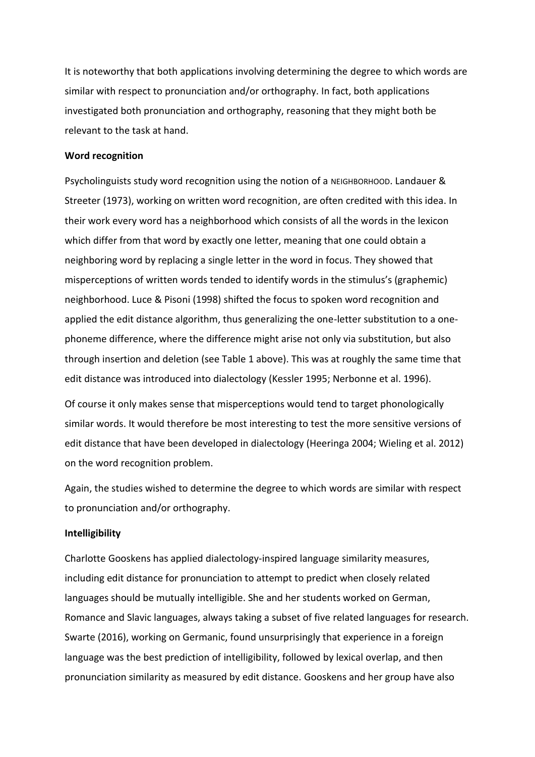It is noteworthy that both applications involving determining the degree to which words are similar with respect to pronunciation and/or orthography. In fact, both applications investigated both pronunciation and orthography, reasoning that they might both be relevant to the task at hand.

#### **Word recognition**

Psycholinguists study word recognition using the notion of a NEIGHBORHOOD. Landauer & Streeter (1973), working on written word recognition, are often credited with this idea. In their work every word has a neighborhood which consists of all the words in the lexicon which differ from that word by exactly one letter, meaning that one could obtain a neighboring word by replacing a single letter in the word in focus. They showed that misperceptions of written words tended to identify words in the stimulus's (graphemic) neighborhood. Luce & Pisoni (1998) shifted the focus to spoken word recognition and applied the edit distance algorithm, thus generalizing the one-letter substitution to a onephoneme difference, where the difference might arise not only via substitution, but also through insertion and deletion (see Table 1 above). This was at roughly the same time that edit distance was introduced into dialectology (Kessler 1995; Nerbonne et al. 1996).

Of course it only makes sense that misperceptions would tend to target phonologically similar words. It would therefore be most interesting to test the more sensitive versions of edit distance that have been developed in dialectology (Heeringa 2004; Wieling et al. 2012) on the word recognition problem.

Again, the studies wished to determine the degree to which words are similar with respect to pronunciation and/or orthography.

#### **Intelligibility**

Charlotte Gooskens has applied dialectology-inspired language similarity measures, including edit distance for pronunciation to attempt to predict when closely related languages should be mutually intelligible. She and her students worked on German, Romance and Slavic languages, always taking a subset of five related languages for research. Swarte (2016), working on Germanic, found unsurprisingly that experience in a foreign language was the best prediction of intelligibility, followed by lexical overlap, and then pronunciation similarity as measured by edit distance. Gooskens and her group have also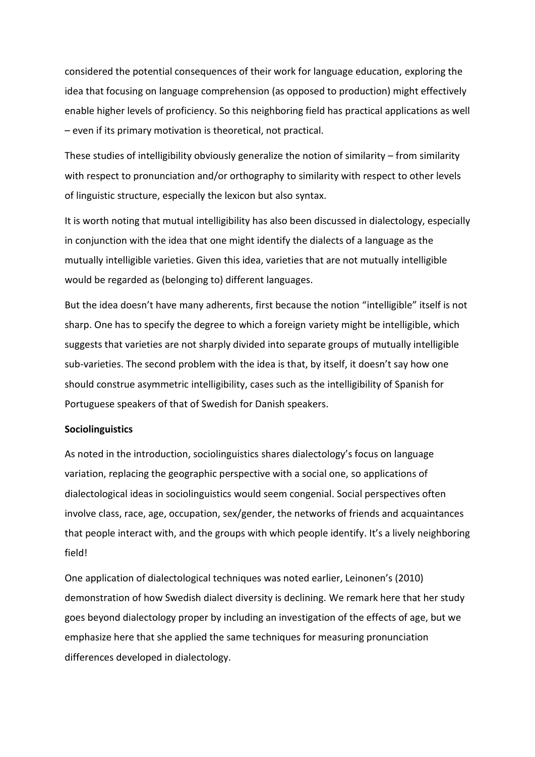considered the potential consequences of their work for language education, exploring the idea that focusing on language comprehension (as opposed to production) might effectively enable higher levels of proficiency. So this neighboring field has practical applications as well – even if its primary motivation is theoretical, not practical.

These studies of intelligibility obviously generalize the notion of similarity – from similarity with respect to pronunciation and/or orthography to similarity with respect to other levels of linguistic structure, especially the lexicon but also syntax.

It is worth noting that mutual intelligibility has also been discussed in dialectology, especially in conjunction with the idea that one might identify the dialects of a language as the mutually intelligible varieties. Given this idea, varieties that are not mutually intelligible would be regarded as (belonging to) different languages.

But the idea doesn't have many adherents, first because the notion "intelligible" itself is not sharp. One has to specify the degree to which a foreign variety might be intelligible, which suggests that varieties are not sharply divided into separate groups of mutually intelligible sub-varieties. The second problem with the idea is that, by itself, it doesn't say how one should construe asymmetric intelligibility, cases such as the intelligibility of Spanish for Portuguese speakers of that of Swedish for Danish speakers.

# **Sociolinguistics**

As noted in the introduction, sociolinguistics shares dialectology's focus on language variation, replacing the geographic perspective with a social one, so applications of dialectological ideas in sociolinguistics would seem congenial. Social perspectives often involve class, race, age, occupation, sex/gender, the networks of friends and acquaintances that people interact with, and the groups with which people identify. It's a lively neighboring field!

One application of dialectological techniques was noted earlier, Leinonen's (2010) demonstration of how Swedish dialect diversity is declining. We remark here that her study goes beyond dialectology proper by including an investigation of the effects of age, but we emphasize here that she applied the same techniques for measuring pronunciation differences developed in dialectology.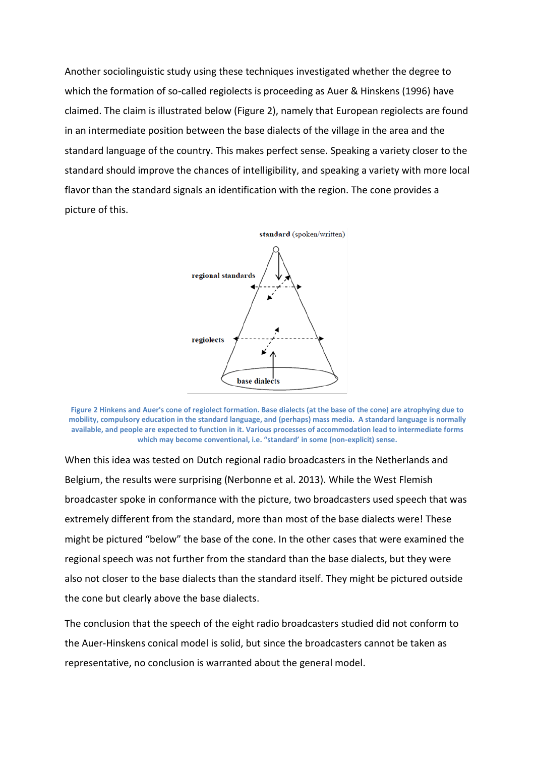Another sociolinguistic study using these techniques investigated whether the degree to which the formation of so-called regiolects is proceeding as Auer & Hinskens (1996) have claimed. The claim is illustrated below (Figure 2), namely that European regiolects are found in an intermediate position between the base dialects of the village in the area and the standard language of the country. This makes perfect sense. Speaking a variety closer to the standard should improve the chances of intelligibility, and speaking a variety with more local flavor than the standard signals an identification with the region. The cone provides a picture of this.



**Figure 2 Hinkens and Auer's cone of regiolect formation. Base dialects (at the base of the cone) are atrophying due to mobility, compulsory education in the standard language, and (perhaps) mass media. A standard language is normally available, and people are expected to function in it. Various processes of accommodation lead to intermediate forms which may become conventional, i.e. "standard' in some (non-explicit) sense.**

When this idea was tested on Dutch regional radio broadcasters in the Netherlands and Belgium, the results were surprising (Nerbonne et al. 2013). While the West Flemish broadcaster spoke in conformance with the picture, two broadcasters used speech that was extremely different from the standard, more than most of the base dialects were! These might be pictured "below" the base of the cone. In the other cases that were examined the regional speech was not further from the standard than the base dialects, but they were also not closer to the base dialects than the standard itself. They might be pictured outside the cone but clearly above the base dialects.

The conclusion that the speech of the eight radio broadcasters studied did not conform to the Auer-Hinskens conical model is solid, but since the broadcasters cannot be taken as representative, no conclusion is warranted about the general model.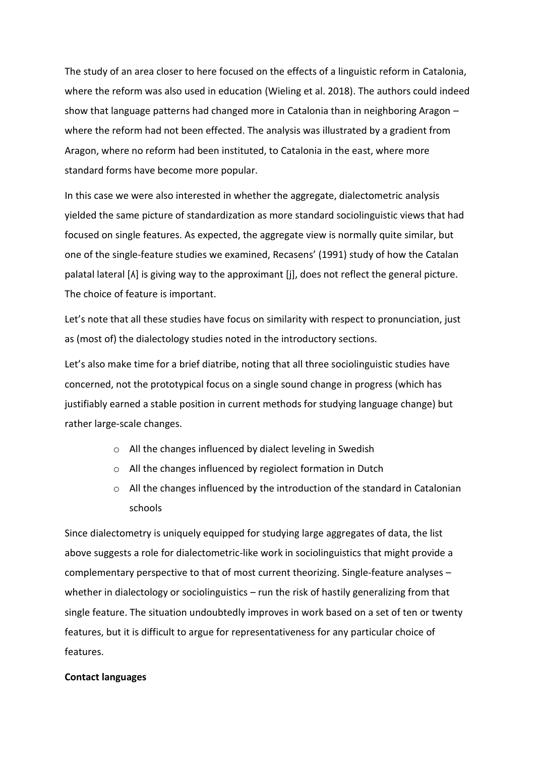The study of an area closer to here focused on the effects of a linguistic reform in Catalonia, where the reform was also used in education (Wieling et al. 2018). The authors could indeed show that language patterns had changed more in Catalonia than in neighboring Aragon – where the reform had not been effected. The analysis was illustrated by a gradient from Aragon, where no reform had been instituted, to Catalonia in the east, where more standard forms have become more popular.

In this case we were also interested in whether the aggregate, dialectometric analysis yielded the same picture of standardization as more standard sociolinguistic views that had focused on single features. As expected, the aggregate view is normally quite similar, but one of the single-feature studies we examined, Recasens' (1991) study of how the Catalan palatal lateral [ʎ] is giving way to the approximant [j], does not reflect the general picture. The choice of feature is important.

Let's note that all these studies have focus on similarity with respect to pronunciation, just as (most of) the dialectology studies noted in the introductory sections.

Let's also make time for a brief diatribe, noting that all three sociolinguistic studies have concerned, not the prototypical focus on a single sound change in progress (which has justifiably earned a stable position in current methods for studying language change) but rather large-scale changes.

- o All the changes influenced by dialect leveling in Swedish
- o All the changes influenced by regiolect formation in Dutch
- o All the changes influenced by the introduction of the standard in Catalonian schools

Since dialectometry is uniquely equipped for studying large aggregates of data, the list above suggests a role for dialectometric-like work in sociolinguistics that might provide a complementary perspective to that of most current theorizing. Single-feature analyses – whether in dialectology or sociolinguistics – run the risk of hastily generalizing from that single feature. The situation undoubtedly improves in work based on a set of ten or twenty features, but it is difficult to argue for representativeness for any particular choice of features.

#### **Contact languages**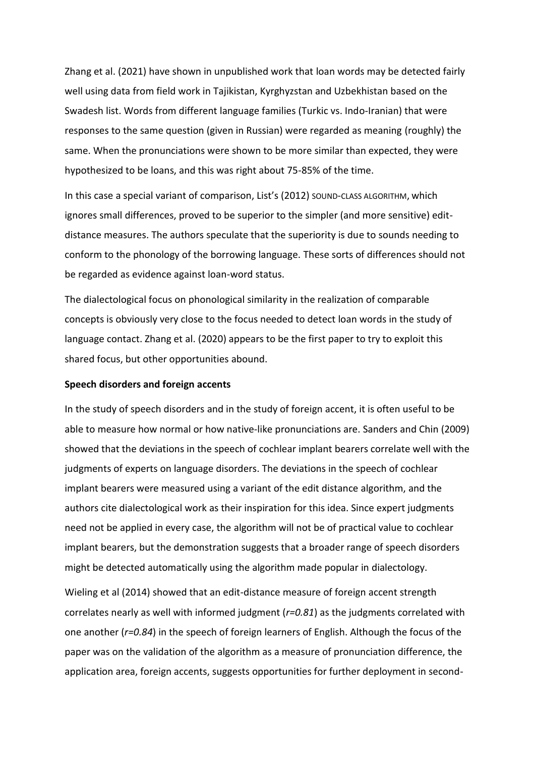Zhang et al. (2021) have shown in unpublished work that loan words may be detected fairly well using data from field work in Tajikistan, Kyrghyzstan and Uzbekhistan based on the Swadesh list. Words from different language families (Turkic vs. Indo-Iranian) that were responses to the same question (given in Russian) were regarded as meaning (roughly) the same. When the pronunciations were shown to be more similar than expected, they were hypothesized to be loans, and this was right about 75-85% of the time.

In this case a special variant of comparison, List's (2012) SOUND-CLASS ALGORITHM, which ignores small differences, proved to be superior to the simpler (and more sensitive) editdistance measures. The authors speculate that the superiority is due to sounds needing to conform to the phonology of the borrowing language. These sorts of differences should not be regarded as evidence against loan-word status.

The dialectological focus on phonological similarity in the realization of comparable concepts is obviously very close to the focus needed to detect loan words in the study of language contact. Zhang et al. (2020) appears to be the first paper to try to exploit this shared focus, but other opportunities abound.

# **Speech disorders and foreign accents**

In the study of speech disorders and in the study of foreign accent, it is often useful to be able to measure how normal or how native-like pronunciations are. Sanders and Chin (2009) showed that the deviations in the speech of cochlear implant bearers correlate well with the judgments of experts on language disorders. The deviations in the speech of cochlear implant bearers were measured using a variant of the edit distance algorithm, and the authors cite dialectological work as their inspiration for this idea. Since expert judgments need not be applied in every case, the algorithm will not be of practical value to cochlear implant bearers, but the demonstration suggests that a broader range of speech disorders might be detected automatically using the algorithm made popular in dialectology.

Wieling et al (2014) showed that an edit-distance measure of foreign accent strength correlates nearly as well with informed judgment (*r=0.81*) as the judgments correlated with one another (*r=0.84*) in the speech of foreign learners of English. Although the focus of the paper was on the validation of the algorithm as a measure of pronunciation difference, the application area, foreign accents, suggests opportunities for further deployment in second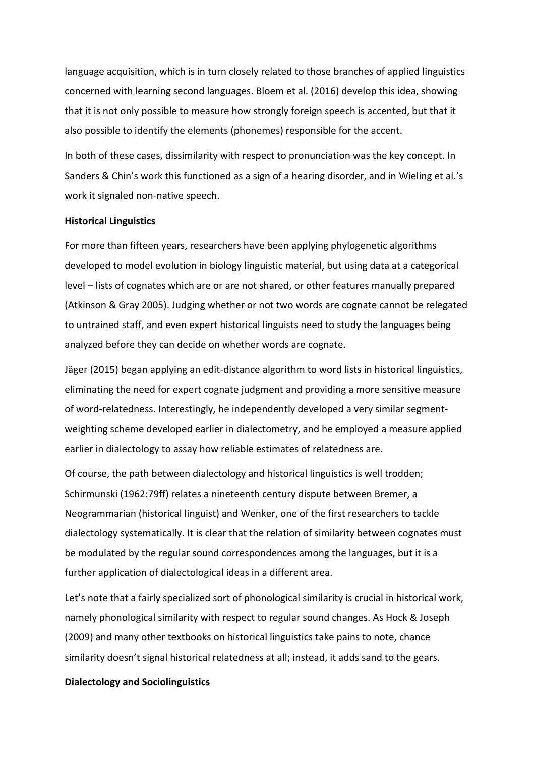language acquisition, which is in turn closely related to those branches of applied linguistics concerned with learning second languages. Bloem et al. (2016) develop this idea, showing that it is not only possible to measure how strongly foreign speech is accented, but that it also possible to identify the elements (phonemes) responsible for the accent.

In both of these cases, dissimilarity with respect to pronunciation was the key concept. In Sanders & Chin's work this functioned as a sign of a hearing disorder, and in Wieling et al.'s work it signaled non-native speech.

# **Historical Linguistics**

For more than fifteen years, researchers have been applying phylogenetic algorithms developed to model evolution in biology linguistic material, but using data at a categorical level – lists of cognates which are or are not shared, or other features manually prepared (Atkinson & Gray 2005). Judging whether or not two words are cognate cannot be relegated to untrained staff, and even expert historical linguists need to study the languages being analyzed before they can decide on whether words are cognate.

Jäger (2015) began applying an edit-distance algorithm to word lists in historical linguistics, eliminating the need for expert cognate judgment and providing a more sensitive measure of word-relatedness. Interestingly, he independently developed a very similar segmentweighting scheme developed earlier in dialectometry, and he employed a measure applied earlier in dialectology to assay how reliable estimates of relatedness are.

Of course, the path between dialectology and historical linguistics is well trodden; Schirmunski (1962:79ff) relates a nineteenth century dispute between Bremer, a Neogrammarian (historical linguist) and Wenker, one of the first researchers to tackle dialectology systematically. It is clear that the relation of similarity between cognates must be modulated by the regular sound correspondences among the languages, but it is a further application of dialectological ideas in a different area.

Let's note that a fairly specialized sort of phonological similarity is crucial in historical work, namely phonological similarity with respect to regular sound changes. As Hock & Joseph (2009) and many other textbooks on historical linguistics take pains to note, chance similarity doesn't signal historical relatedness at all; instead, it adds sand to the gears.

#### **Dialectology and Sociolinguistics**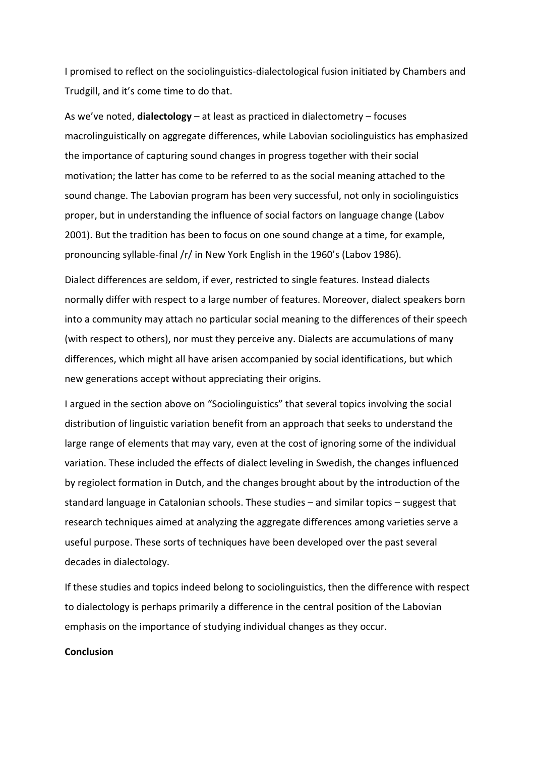I promised to reflect on the sociolinguistics-dialectological fusion initiated by Chambers and Trudgill, and it's come time to do that.

As we've noted, **dialectology** – at least as practiced in dialectometry – focuses macrolinguistically on aggregate differences, while Labovian sociolinguistics has emphasized the importance of capturing sound changes in progress together with their social motivation; the latter has come to be referred to as the social meaning attached to the sound change. The Labovian program has been very successful, not only in sociolinguistics proper, but in understanding the influence of social factors on language change (Labov 2001). But the tradition has been to focus on one sound change at a time, for example, pronouncing syllable-final /r/ in New York English in the 1960's (Labov 1986).

Dialect differences are seldom, if ever, restricted to single features. Instead dialects normally differ with respect to a large number of features. Moreover, dialect speakers born into a community may attach no particular social meaning to the differences of their speech (with respect to others), nor must they perceive any. Dialects are accumulations of many differences, which might all have arisen accompanied by social identifications, but which new generations accept without appreciating their origins.

I argued in the section above on "Sociolinguistics" that several topics involving the social distribution of linguistic variation benefit from an approach that seeks to understand the large range of elements that may vary, even at the cost of ignoring some of the individual variation. These included the effects of dialect leveling in Swedish, the changes influenced by regiolect formation in Dutch, and the changes brought about by the introduction of the standard language in Catalonian schools. These studies – and similar topics – suggest that research techniques aimed at analyzing the aggregate differences among varieties serve a useful purpose. These sorts of techniques have been developed over the past several decades in dialectology.

If these studies and topics indeed belong to sociolinguistics, then the difference with respect to dialectology is perhaps primarily a difference in the central position of the Labovian emphasis on the importance of studying individual changes as they occur.

# **Conclusion**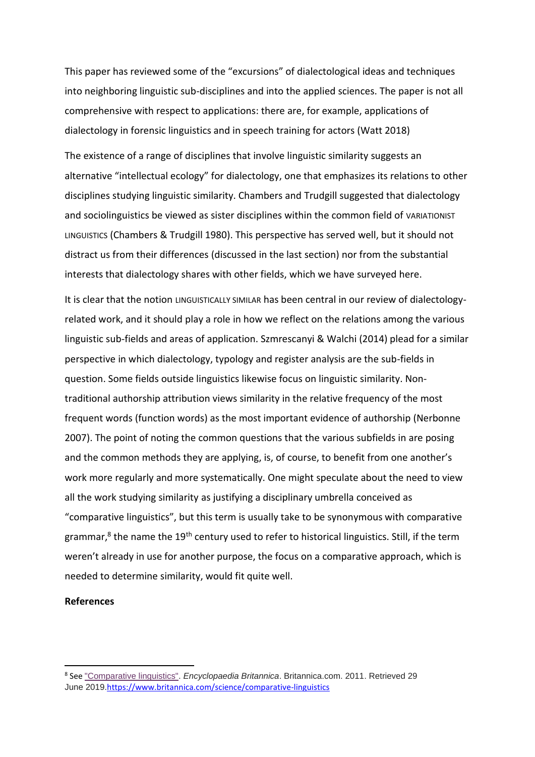This paper has reviewed some of the "excursions" of dialectological ideas and techniques into neighboring linguistic sub-disciplines and into the applied sciences. The paper is not all comprehensive with respect to applications: there are, for example, applications of dialectology in forensic linguistics and in speech training for actors (Watt 2018)

The existence of a range of disciplines that involve linguistic similarity suggests an alternative "intellectual ecology" for dialectology, one that emphasizes its relations to other disciplines studying linguistic similarity. Chambers and Trudgill suggested that dialectology and sociolinguistics be viewed as sister disciplines within the common field of VARIATIONIST LINGUISTICS (Chambers & Trudgill 1980). This perspective has served well, but it should not distract us from their differences (discussed in the last section) nor from the substantial interests that dialectology shares with other fields, which we have surveyed here.

It is clear that the notion LINGUISTICALLY SIMILAR has been central in our review of dialectologyrelated work, and it should play a role in how we reflect on the relations among the various linguistic sub-fields and areas of application. Szmrescanyi & Walchi (2014) plead for a similar perspective in which dialectology, typology and register analysis are the sub-fields in question. Some fields outside linguistics likewise focus on linguistic similarity. Nontraditional authorship attribution views similarity in the relative frequency of the most frequent words (function words) as the most important evidence of authorship (Nerbonne 2007). The point of noting the common questions that the various subfields in are posing and the common methods they are applying, is, of course, to benefit from one another's work more regularly and more systematically. One might speculate about the need to view all the work studying similarity as justifying a disciplinary umbrella conceived as "comparative linguistics", but this term is usually take to be synonymous with comparative grammar,<sup>8</sup> the name the 19<sup>th</sup> century used to refer to historical linguistics. Still, if the term weren't already in use for another purpose, the focus on a comparative approach, which is needed to determine similarity, would fit quite well.

# **References**

<sup>8</sup> See ["Comparative linguistics".](https://www.britannica.com/science/comparative-linguistics) *Encyclopaedia Britannica*. Britannica.com. 2011. Retrieved 29 June 2019.<https://www.britannica.com/science/comparative-linguistics>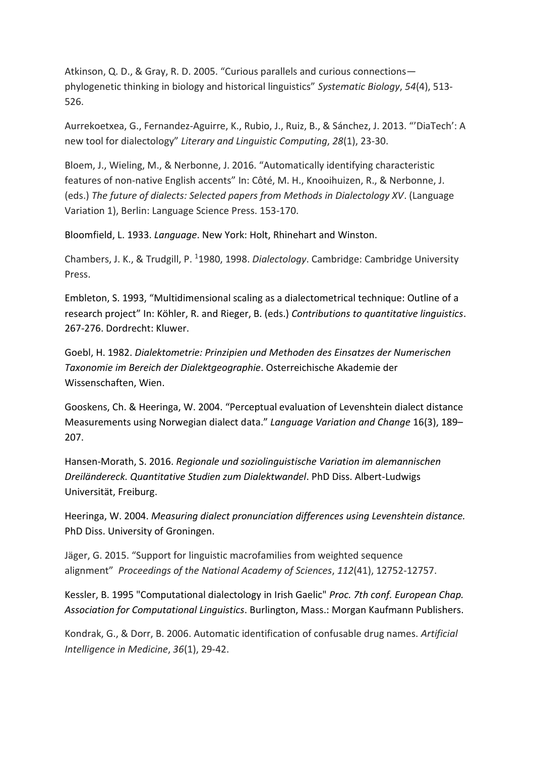Atkinson, Q. D., & Gray, R. D. 2005. "Curious parallels and curious connections phylogenetic thinking in biology and historical linguistics" *Systematic Biology*, *54*(4), 513- 526.

Aurrekoetxea, G., Fernandez-Aguirre, K., Rubio, J., Ruiz, B., & Sánchez, J. 2013. "'DiaTech': A new tool for dialectology" *Literary and Linguistic Computing*, *28*(1), 23-30.

Bloem, J., Wieling, M., & Nerbonne, J. 2016. "Automatically identifying characteristic features of non-native English accents" In: Côté, M. H., Knooihuizen, R., & Nerbonne, J. (eds.) *The future of dialects: Selected papers from Methods in Dialectology XV*. (Language Variation 1), Berlin: Language Science Press. 153-170.

Bloomfield, L. 1933. *Language*. New York: Holt, Rhinehart and Winston.

Chambers, J. K., & Trudgill, P. <sup>1</sup>1980, 1998. *Dialectology*. Cambridge: Cambridge University Press.

Embleton, S. 1993, "Multidimensional scaling as a dialectometrical technique: Outline of a research project" In: Köhler, R. and Rieger, B. (eds.) *Contributions to quantitative linguistics*. 267-276. Dordrecht: Kluwer.

Goebl, H. 1982. *Dialektometrie: Prinzipien und Methoden des Einsatzes der Numerischen Taxonomie im Bereich der Dialektgeographie*. Osterreichische Akademie der Wissenschaften, Wien.

Gooskens, Ch. & Heeringa, W. 2004. "Perceptual evaluation of Levenshtein dialect distance Measurements using Norwegian dialect data." *Language Variation and Change* 16(3), 189– 207.

Hansen-Morath, S. 2016. *Regionale und soziolinguistische Variation im alemannischen Dreiländereck. Quantitative Studien zum Dialektwandel*. PhD Diss. Albert-Ludwigs Universität, Freiburg.

Heeringa, W. 2004. *Measuring dialect pronunciation differences using Levenshtein distance.* PhD Diss. University of Groningen.

Jäger, G. 2015. "Support for linguistic macrofamilies from weighted sequence alignment" *Proceedings of the National Academy of Sciences*, *112*(41), 12752-12757.

Kessler, B. 1995 "Computational dialectology in Irish Gaelic" *Proc. 7th conf. European Chap. Association for Computational Linguistics*. Burlington, Mass.: Morgan Kaufmann Publishers.

Kondrak, G., & Dorr, B. 2006. Automatic identification of confusable drug names. *Artificial Intelligence in Medicine*, *36*(1), 29-42.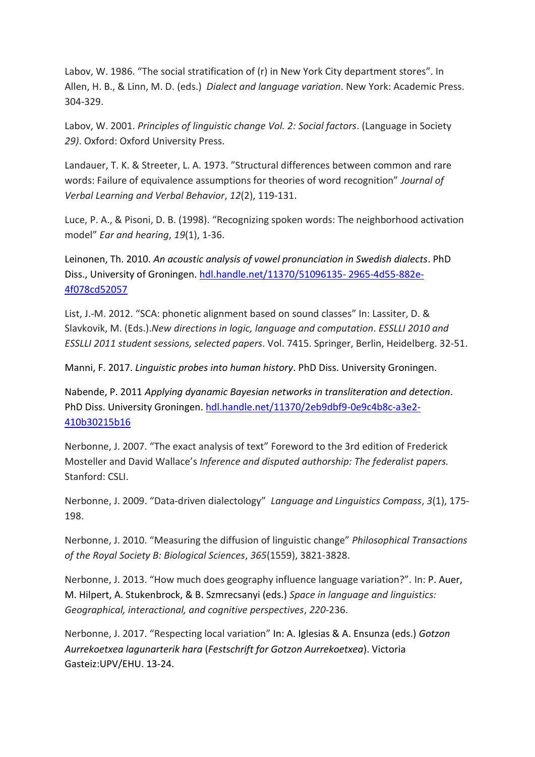Labov, W. 1986. "The social stratification of (r) in New York City department stores". In Allen, H. B., & Linn, M. D. (eds.) *Dialect and language variation*. New York: Academic Press. 304-329.

Labov, W. 2001. *Principles of linguistic change Vol. 2: Social factors*. (Language in Society *29)*. Oxford: Oxford University Press.

Landauer, T. K. & Streeter, L. A. 1973. "Structural differences between common and rare words: Failure of equivalence assumptions for theories of word recognition" *Journal of Verbal Learning and Verbal Behavior*, *12*(2), 119-131.

Luce, P. A., & Pisoni, D. B. (1998). "Recognizing spoken words: The neighborhood activation model" *Ear and hearing*, *19*(1), 1-36.

Leinonen, Th. 2010. *An acoustic analysis of vowel pronunciation in Swedish dialects*. PhD Diss., University of Groningen. [hdl.handle.net/11370/51096135-](hdl.handle.net/11370/51096135-%202965-4d55-882e-4f078cd52057) 2965-4d55-882e-[4f078cd52057](hdl.handle.net/11370/51096135-%202965-4d55-882e-4f078cd52057)

List, J.-M. 2012. "SCA: phonetic alignment based on sound classes" In: Lassiter, D. & Slavkovik, M. (Eds.).*New directions in logic, language and computation*. *ESSLLI 2010 and ESSLLI 2011 student sessions, selected papers*. Vol. 7415. Springer, Berlin, Heidelberg. 32-51.

Manni, F. 2017. *Linguistic probes into human history*. PhD Diss. University Groningen.

Nabende, P. 2011 *Applying dyanamic Bayesian networks in transliteration and detection*. PhD Diss. University Groningen. [hdl.handle.net/11370/2eb9dbf9-0e9c4b8c-a3e2-](hdl.handle.net/11370/2eb9dbf9-0e9c4b8c-a3e2-410b30215b16) [410b30215b16](hdl.handle.net/11370/2eb9dbf9-0e9c4b8c-a3e2-410b30215b16)

Nerbonne, J. 2007. "The exact analysis of text" Foreword to the 3rd edition of Frederick Mosteller and David Wallace's *Inference and disputed authorship: The federalist papers.* Stanford: CSLI.

Nerbonne, J. 2009. "Data‐driven dialectology" *Language and Linguistics Compass*, *3*(1), 175- 198.

Nerbonne, J. 2010. "Measuring the diffusion of linguistic change" *Philosophical Transactions of the Royal Society B: Biological Sciences*, *365*(1559), 3821-3828.

Nerbonne, J. 2013. "How much does geography influence language variation?". In: P. Auer, M. Hilpert, A. Stukenbrock, & B. Szmrecsanyi (eds.) *Space in language and linguistics: Geographical, interactional, and cognitive perspectives*, *220*-236.

Nerbonne, J. 2017. "Respecting local variation" In: A. Iglesias & A. Ensunza (eds.) *Gotzon Aurrekoetxea lagunarterik hara* (*Festschrift for Gotzon Aurrekoetxea*). Victoria Gasteiz:UPV/EHU. 13-24.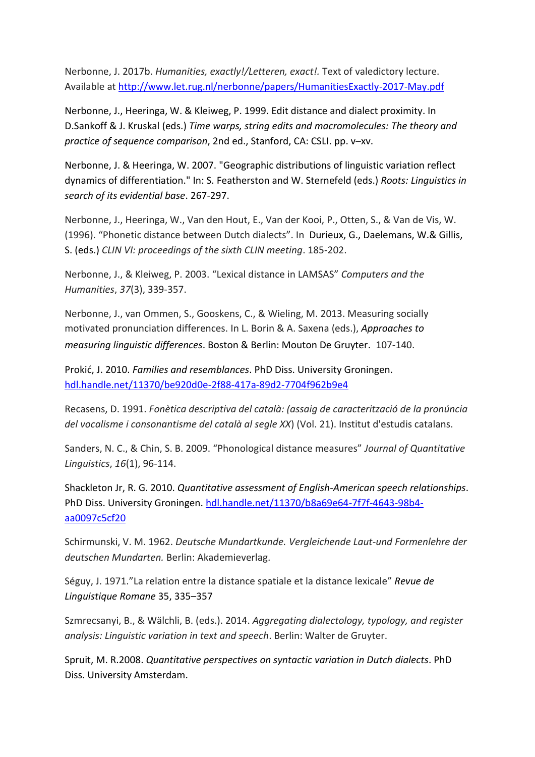Nerbonne, J. 2017b. *Humanities, exactly!/Letteren, exact!.* Text of valedictory lecture. Available at<http://www.let.rug.nl/nerbonne/papers/HumanitiesExactly-2017-May.pdf>

Nerbonne, J., Heeringa, W. & Kleiweg, P. 1999. Edit distance and dialect proximity. In D.Sankoff & J. Kruskal (eds.) *Time warps, string edits and macromolecules: The theory and practice of sequence comparison*, 2nd ed., Stanford, CA: CSLI. pp. v–xv.

Nerbonne, J. & Heeringa, W. 2007. "Geographic distributions of linguistic variation reflect dynamics of differentiation." In: S. Featherston and W. Sternefeld (eds.) *Roots: Linguistics in search of its evidential base*. 267-297.

Nerbonne, J., Heeringa, W., Van den Hout, E., Van der Kooi, P., Otten, S., & Van de Vis, W. (1996). "Phonetic distance between Dutch dialects". In Durieux, G., Daelemans, W.& Gillis, S. (eds.) *CLIN VI: proceedings of the sixth CLIN meeting*. 185-202.

Nerbonne, J., & Kleiweg, P. 2003. "Lexical distance in LAMSAS" *Computers and the Humanities*, *37*(3), 339-357.

Nerbonne, J., van Ommen, S., Gooskens, C., & Wieling, M. 2013. Measuring socially motivated pronunciation differences. In L. Borin & A. Saxena (eds.), *Approaches to measuring linguistic differences*. Boston & Berlin: Mouton De Gruyter. 107-140.

Prokić, J. 2010. *Families and resemblances*. PhD Diss. University Groningen. <hdl.handle.net/11370/be920d0e-2f88-417a-89d2-7704f962b9e4>

Recasens, D. 1991. *Fonètica descriptiva del català: (assaig de caracterització de la pronúncia del vocalisme i consonantisme del català al segle XX*) (Vol. 21). Institut d'estudis catalans.

Sanders, N. C., & Chin, S. B. 2009. "Phonological distance measures" *Journal of Quantitative Linguistics*, *16*(1), 96-114.

Shackleton Jr, R. G. 2010. *Quantitative assessment of English-American speech relationships*. PhD Diss. University Groningen. [hdl.handle.net/11370/b8a69e64-7f7f-4643-98b4](hdl.handle.net/11370/b8a69e64-7f7f-4643-98b4-aa0097c5cf20) [aa0097c5cf20](hdl.handle.net/11370/b8a69e64-7f7f-4643-98b4-aa0097c5cf20)

Schirmunski, V. M. 1962. *Deutsche Mundartkunde. Vergleichende Laut-und Formenlehre der deutschen Mundarten.* Berlin: Akademieverlag.

Séguy, J. 1971."La relation entre la distance spatiale et la distance lexicale" *Revue de Linguistique Romane* 35, 335–357

Szmrecsanyi, B., & Wälchli, B. (eds.). 2014. *Aggregating dialectology, typology, and register analysis: Linguistic variation in text and speech*. Berlin: Walter de Gruyter.

Spruit, M. R.2008. *Quantitative perspectives on syntactic variation in Dutch dialects*. PhD Diss. University Amsterdam.